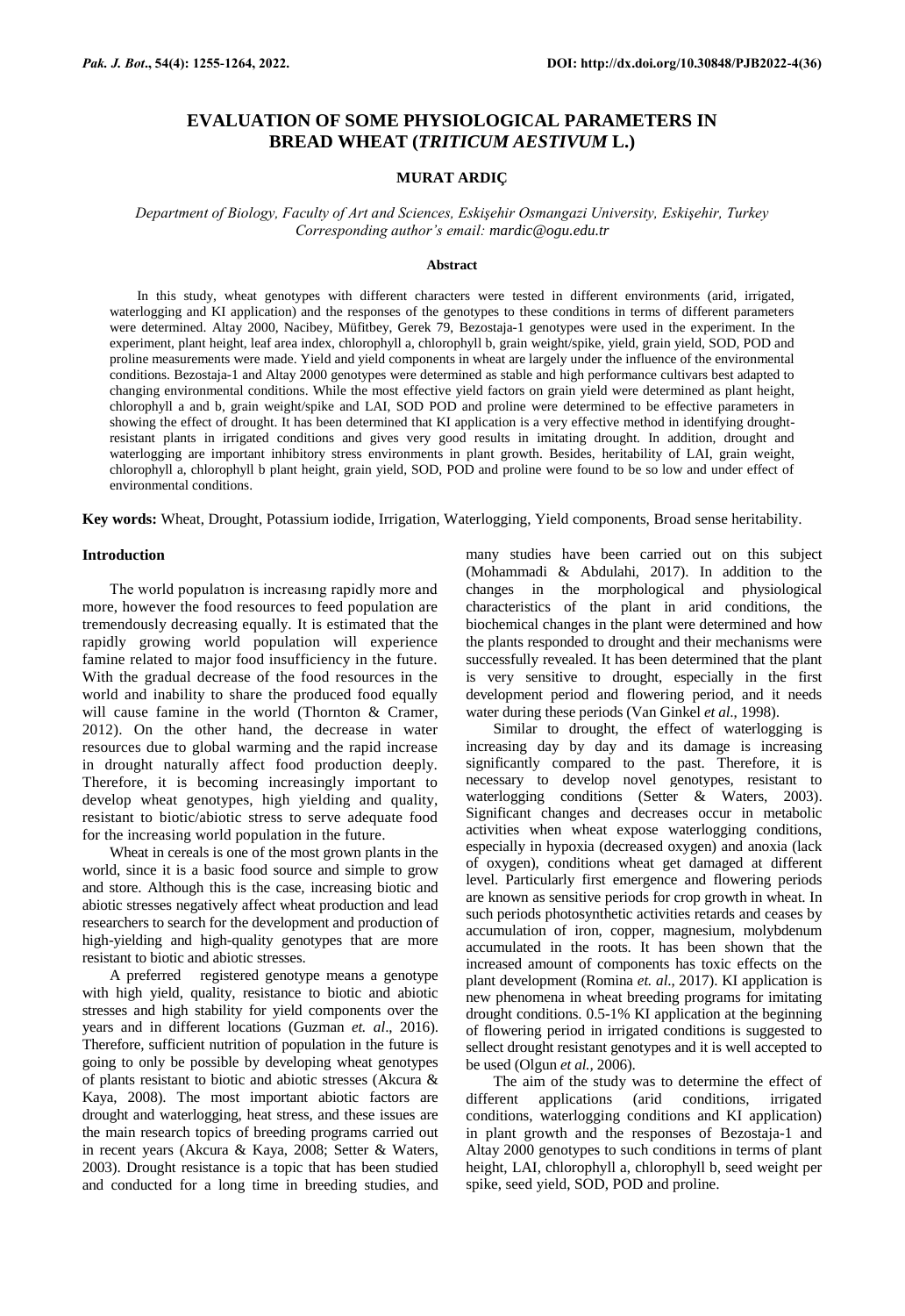# **EVALUATION OF SOME PHYSIOLOGICAL PARAMETERS IN BREAD WHEAT (***TRITICUM AESTIVUM* **L.)**

# **MURAT ARDIÇ**

*Department of Biology, Faculty of Art and Sciences, Eskişehir Osmangazi University, Eskişehir, Turkey Corresponding author's email: [mardic@ogu.edu.tr](mailto:mardic@ogu.edu.tr)*

#### **Abstract**

In this study, wheat genotypes with different characters were tested in different environments (arid, irrigated, waterlogging and KI application) and the responses of the genotypes to these conditions in terms of different parameters were determined. Altay 2000, Nacibey, Müfitbey, Gerek 79, Bezostaja-1 genotypes were used in the experiment. In the experiment, plant height, leaf area index, chlorophyll a, chlorophyll b, grain weight/spike, yield, grain yield, SOD, POD and proline measurements were made. Yield and yield components in wheat are largely under the influence of the environmental conditions. Bezostaja-1 and Altay 2000 genotypes were determined as stable and high performance cultivars best adapted to changing environmental conditions. While the most effective yield factors on grain yield were determined as plant height, chlorophyll a and b, grain weight/spike and LAI, SOD POD and proline were determined to be effective parameters in showing the effect of drought. It has been determined that KI application is a very effective method in identifying droughtresistant plants in irrigated conditions and gives very good results in imitating drought. In addition, drought and waterlogging are important inhibitory stress environments in plant growth. Besides, heritability of LAI, grain weight, chlorophyll a, chlorophyll b plant height, grain yield, SOD, POD and proline were found to be so low and under effect of environmental conditions.

**Key words:** Wheat, Drought, Potassium iodide, Irrigation, Waterlogging, Yield components, Broad sense heritability.

## **Introduction**

The world populatıon is increasıng rapidly more and more, however the food resources to feed population are tremendously decreasing equally. It is estimated that the rapidly growing world population will experience famine related to major food insufficiency in the future. With the gradual decrease of the food resources in the world and inability to share the produced food equally will cause famine in the world (Thornton & Cramer, 2012). On the other hand, the decrease in water resources due to global warming and the rapid increase in drought naturally affect food production deeply. Therefore, it is becoming increasingly important to develop wheat genotypes, high yielding and quality, resistant to biotic/abiotic stress to serve adequate food for the increasing world population in the future.

Wheat in cereals is one of the most grown plants in the world, since it is a basic food source and simple to grow and store. Although this is the case, increasing biotic and abiotic stresses negatively affect wheat production and lead researchers to search for the development and production of high-yielding and high-quality genotypes that are more resistant to biotic and abiotic stresses.

A preferred registered genotype means a genotype with high yield, quality, resistance to biotic and abiotic stresses and high stability for yield components over the years and in different locations (Guzman *et. al*., 2016). Therefore, sufficient nutrition of population in the future is going to only be possible by developing wheat genotypes of plants resistant to biotic and abiotic stresses (Akcura & Kaya, 2008). The most important abiotic factors are drought and waterlogging, heat stress, and these issues are the main research topics of breeding programs carried out in recent years (Akcura & Kaya, 2008; Setter & Waters, 2003). Drought resistance is a topic that has been studied and conducted for a long time in breeding studies, and

many studies have been carried out on this subject (Mohammadi & Abdulahi, 2017). In addition to the changes in the morphological and physiological characteristics of the plant in arid conditions, the biochemical changes in the plant were determined and how the plants responded to drought and their mechanisms were successfully revealed. It has been determined that the plant is very sensitive to drought, especially in the first development period and flowering period, and it needs water during these periods (Van Ginkel *et al*., 1998).

Similar to drought, the effect of waterlogging is increasing day by day and its damage is increasing significantly compared to the past. Therefore, it is necessary to develop novel genotypes, resistant to waterlogging conditions (Setter & Waters, 2003). Significant changes and decreases occur in metabolic activities when wheat expose waterlogging conditions, especially in hypoxia (decreased oxygen) and anoxia (lack of oxygen), conditions wheat get damaged at different level. Particularly first emergence and flowering periods are known as sensitive periods for crop growth in wheat. In such periods photosynthetic activities retards and ceases by accumulation of iron, copper, magnesium, molybdenum accumulated in the roots. It has been shown that the increased amount of components has toxic effects on the plant development (Romina *et. al*., 2017). KI application is new phenomena in wheat breeding programs for imitating drought conditions. 0.5-1% KI application at the beginning of flowering period in irrigated conditions is suggested to sellect drought resistant genotypes and it is well accepted to be used (Olgun *et al.,* 2006).

The aim of the study was to determine the effect of different applications (arid conditions, irrigated conditions, waterlogging conditions and KI application) in plant growth and the responses of Bezostaja-1 and Altay 2000 genotypes to such conditions in terms of plant height, LAI, chlorophyll a, chlorophyll b, seed weight per spike, seed yield, SOD, POD and proline.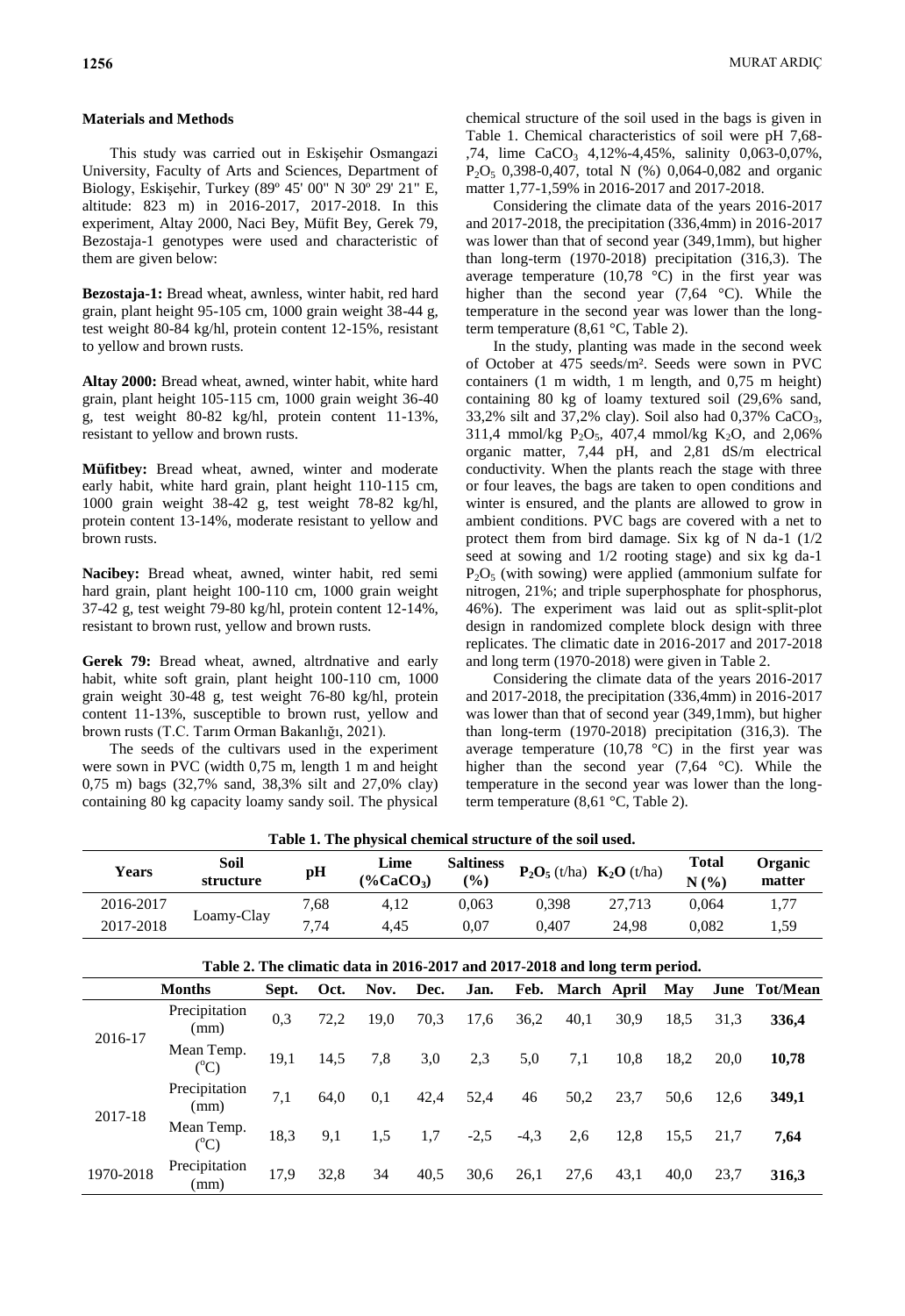### **Materials and Methods**

This study was carried out in Eskişehir Osmangazi University, Faculty of Arts and Sciences, Department of Biology, Eskişehir, Turkey (89º 45' 00" N 30º 29' 21" E, altitude: 823 m) in 2016-2017, 2017-2018. In this experiment, Altay 2000, Naci Bey, Müfit Bey, Gerek 79, Bezostaja-1 genotypes were used and characteristic of them are given below:

**Bezostaja-1:** Bread wheat, awnless, winter habit, red hard grain, plant height 95-105 cm, 1000 grain weight 38-44 g, test weight 80-84 kg/hl, protein content 12-15%, resistant to yellow and brown rusts.

**Altay 2000:** Bread wheat, awned, winter habit, white hard grain, plant height 105-115 cm, 1000 grain weight 36-40 g, test weight 80-82 kg/hl, protein content 11-13%, resistant to yellow and brown rusts.

**Müfitbey:** Bread wheat, awned, winter and moderate early habit, white hard grain, plant height 110-115 cm, 1000 grain weight 38-42 g, test weight 78-82 kg/hl, protein content 13-14%, moderate resistant to yellow and brown rusts.

**Nacibey:** Bread wheat, awned, winter habit, red semi hard grain, plant height 100-110 cm, 1000 grain weight 37-42 g, test weight 79-80 kg/hl, protein content 12-14%, resistant to brown rust, yellow and brown rusts.

**Gerek 79:** Bread wheat, awned, altrdnative and early habit, white soft grain, plant height 100-110 cm, 1000 grain weight 30-48 g, test weight 76-80 kg/hl, protein content 11-13%, susceptible to brown rust, yellow and brown rusts (T.C. Tarım Orman Bakanlığı, 2021).

The seeds of the cultivars used in the experiment were sown in PVC (width 0,75 m, length 1 m and height 0,75 m) bags (32,7% sand, 38,3% silt and 27,0% clay) containing 80 kg capacity loamy sandy soil. The physical

chemical structure of the soil used in the bags is given in Table 1. Chemical characteristics of soil were pH 7,68- ,74, lime  $CaCO_3$  4,12%-4,45%, salinity 0,063-0,07%,  $P_2O_5$  0,398-0,407, total N (%) 0,064-0,082 and organic matter 1,77-1,59% in 2016-2017 and 2017-2018.

Considering the climate data of the years 2016-2017 and 2017-2018, the precipitation (336,4mm) in 2016-2017 was lower than that of second year (349,1mm), but higher than long-term (1970-2018) precipitation (316,3). The average temperature (10,78  $^{\circ}$ C) in the first year was higher than the second year (7,64 °C). While the temperature in the second year was lower than the longterm temperature (8,61 °C, Table 2).

In the study, planting was made in the second week of October at 475 seeds/m². Seeds were sown in PVC containers (1 m width, 1 m length, and 0,75 m height) containing 80 kg of loamy textured soil (29,6% sand, 33,2% silt and 37,2% clay). Soil also had  $0,37\%$  CaCO<sub>3</sub>, 311,4 mmol/kg  $P_2O_5$ , 407,4 mmol/kg  $K_2O$ , and 2,06% organic matter, 7,44 pH, and 2,81 dS/m electrical conductivity. When the plants reach the stage with three or four leaves, the bags are taken to open conditions and winter is ensured, and the plants are allowed to grow in ambient conditions. PVC bags are covered with a net to protect them from bird damage. Six kg of N da-1 (1/2 seed at sowing and 1/2 rooting stage) and six kg da-1  $P_2O_5$  (with sowing) were applied (ammonium sulfate for nitrogen, 21%; and triple superphosphate for phosphorus, 46%). The experiment was laid out as split-split-plot design in randomized complete block design with three replicates. The climatic date in 2016-2017 and 2017-2018 and long term (1970-2018) were given in Table 2.

Considering the climate data of the years 2016-2017 and 2017-2018, the precipitation (336,4mm) in 2016-2017 was lower than that of second year (349,1mm), but higher than long-term (1970-2018) precipitation (316,3). The average temperature  $(10,78 \degree C)$  in the first year was higher than the second year (7,64 °C). While the temperature in the second year was lower than the longterm temperature (8,61 °C, Table 2).

|              | <b>Table 1. The physical chemical structure of the soil used.</b> |      |                     |                         |                                   |              |                            |                   |  |  |  |
|--------------|-------------------------------------------------------------------|------|---------------------|-------------------------|-----------------------------------|--------------|----------------------------|-------------------|--|--|--|
| <b>Years</b> | Soil<br>structure                                                 | pH   | Lime<br>$(\%CaCO3)$ | <b>Saltiness</b><br>(%) | $\mathbf{P}_2\mathbf{O}_5$ (t/ha) | $K_2O(t/ha)$ | <b>Total</b><br>(9/6)<br>N | Organic<br>matter |  |  |  |
| 2016-2017    |                                                                   | 7.68 | 4.12                | 0.063                   | 0.398                             | 27.713       | 0.064                      | 1,77              |  |  |  |
| 2017-2018    | Loamy-Clay                                                        | 7,74 | 4.45                | $0.07\,$                | 0.407                             | 24.98        | 0.082                      | 1,59              |  |  |  |

**Table 1. The physical chemical structure of the soil used.**

| Table 2. The climatic data in 2016-2017 and 2017-2018 and long term period. |                                |       |      |      |      |        |        |                  |      |      |      |               |
|-----------------------------------------------------------------------------|--------------------------------|-------|------|------|------|--------|--------|------------------|------|------|------|---------------|
|                                                                             | <b>Months</b>                  | Sept. | Oct. | Nov. | Dec. | Jan.   |        | Feb. March April |      | May  |      | June Tot/Mean |
| 2016-17                                                                     | Precipitation<br>(mm)          | 0,3   | 72,2 | 19,0 | 70,3 | 17,6   | 36,2   | 40,1             | 30,9 | 18,5 | 31,3 | 336,4         |
|                                                                             | Mean Temp.<br>$\rm ^{o}C$      | 19,1  | 14,5 | 7,8  | 3,0  | 2,3    | 5,0    | 7,1              | 10,8 | 18,2 | 20,0 | 10,78         |
| 2017-18                                                                     | Precipitation<br>(mm)          | 7,1   | 64,0 | 0,1  | 42,4 | 52,4   | 46     | 50,2             | 23,7 | 50,6 | 12,6 | 349,1         |
|                                                                             | Mean Temp.<br>$\rm ^{(^0}\!C)$ | 18,3  | 9,1  | 1,5  | 1,7  | $-2,5$ | $-4,3$ | 2,6              | 12,8 | 15.5 | 21,7 | 7,64          |
| 1970-2018                                                                   | Precipitation<br>(mm)          | 17,9  | 32,8 | 34   | 40,5 | 30,6   | 26,1   | 27,6             | 43,1 | 40,0 | 23,7 | 316,3         |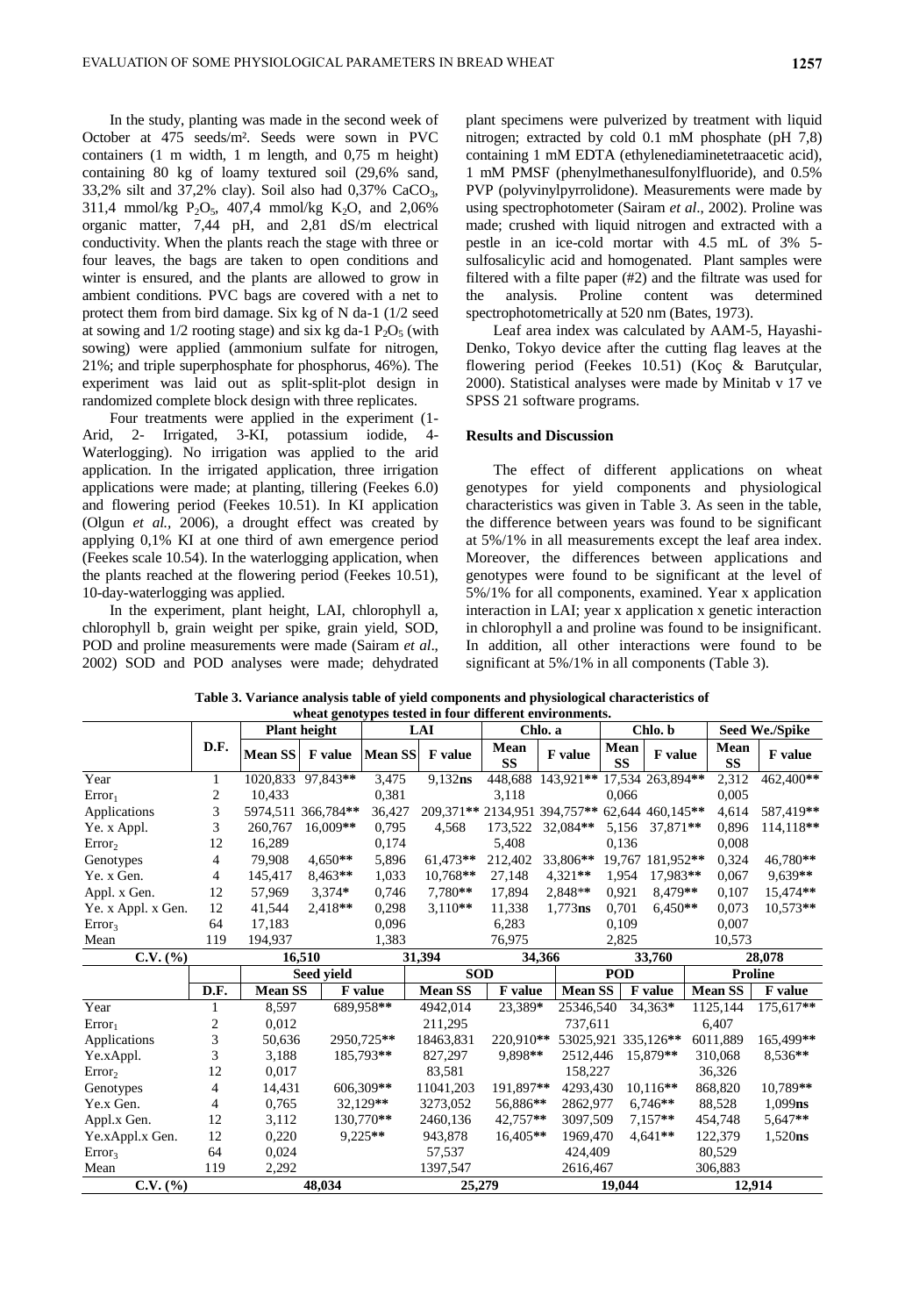In the study, planting was made in the second week of October at 475 seeds/m². Seeds were sown in PVC containers (1 m width, 1 m length, and 0,75 m height) containing 80 kg of loamy textured soil (29,6% sand, 33,2% silt and 37,2% clay). Soil also had 0,37% CaCO3, 311,4 mmol/kg  $P_2O_5$ , 407,4 mmol/kg  $K_2O$ , and 2,06% organic matter, 7,44 pH, and 2,81 dS/m electrical conductivity. When the plants reach the stage with three or four leaves, the bags are taken to open conditions and winter is ensured, and the plants are allowed to grow in ambient conditions. PVC bags are covered with a net to protect them from bird damage. Six kg of N da-1 (1/2 seed at sowing and  $1/2$  rooting stage) and six kg da-1  $P_2O_5$  (with sowing) were applied (ammonium sulfate for nitrogen, 21%; and triple superphosphate for phosphorus, 46%). The experiment was laid out as split-split-plot design in randomized complete block design with three replicates.

Four treatments were applied in the experiment (1- Arid, 2- Irrigated, 3-KI, potassium iodide, 4- Waterlogging). No irrigation was applied to the arid application. In the irrigated application, three irrigation applications were made; at planting, tillering (Feekes 6.0) and flowering period (Feekes 10.51). In KI application (Olgun *et al.,* 2006), a drought effect was created by applying 0,1% KI at one third of awn emergence period (Feekes scale 10.54). In the waterlogging application, when the plants reached at the flowering period (Feekes 10.51), 10-day-waterlogging was applied.

In the experiment, plant height, LAI, chlorophyll a, chlorophyll b, grain weight per spike, grain yield, SOD, POD and proline measurements were made (Sairam *et al*., 2002) SOD and POD analyses were made; dehydrated

plant specimens were pulverized by treatment with liquid nitrogen; extracted by cold 0.1 mM phosphate (pH 7,8) containing 1 mM EDTA (ethylenediaminetetraacetic acid), 1 mM PMSF (phenylmethanesulfonylfluoride), and 0.5% PVP (polyvinylpyrrolidone). Measurements were made by using spectrophotometer (Sairam *et al*., 2002). Proline was made; crushed with liquid nitrogen and extracted with a pestle in an ice-cold mortar with 4.5 mL of 3% 5 sulfosalicylic acid and homogenated. Plant samples were filtered with a filte paper (#2) and the filtrate was used for the analysis. Proline content was determined spectrophotometrically at 520 nm (Bates, 1973).

Leaf area index was calculated by AAM-5, Hayashi-Denko, Tokyo device after the cutting flag leaves at the flowering period (Feekes 10.51) (Koç & Barutçular, 2000). Statistical analyses were made by Minitab v 17 ve SPSS 21 software programs.

# **Results and Discussion**

The effect of different applications on wheat genotypes for yield components and physiological characteristics was given in Table 3. As seen in the table, the difference between years was found to be significant at 5%/1% in all measurements except the leaf area index. Moreover, the differences between applications and genotypes were found to be significant at the level of 5%/1% for all components, examined. Year x application interaction in LAI; year x application x genetic interaction in chlorophyll a and proline was found to be insignificant. In addition, all other interactions were found to be significant at 5%/1% in all components (Table 3).

**Table 3. Variance analysis table of yield components and physiological characteristics of wheat genotypes tested in four different environments.**

|                    |                | <b>Plant height</b> |                    |                | <b>LAI</b>                   |            | Chlo. a                    |                   | Chlo. b          |                   | Seed We./Spike |  |
|--------------------|----------------|---------------------|--------------------|----------------|------------------------------|------------|----------------------------|-------------------|------------------|-------------------|----------------|--|
|                    | D.F.           | <b>Mean SS</b>      | <b>F</b> value     | <b>Mean SS</b> | <b>F</b> value               | Mean<br>SS | <b>F</b> value             | Mean<br><b>SS</b> | <b>F</b> value   | Mean<br><b>SS</b> | <b>F</b> value |  |
| Year               | 1              |                     | 1020,833 97,843**  | 3,475          | $9,132$ ns                   | 448,688    | 143,921** 17,534 263,894** |                   |                  | 2,312             | 462,400**      |  |
| Error <sub>1</sub> | 2              | 10,433              |                    | 0,381          |                              | 3,118      |                            | 0,066             |                  | 0,005             |                |  |
| Applications       | 3              |                     | 5974,511 366,784** | 36,427         | 209,371** 2134,951 394,757** |            |                            |                   | 62,644 460,145** | 4,614             | 587.419**      |  |
| Ye. x Appl.        | 3              | 260,767             | 16,009**           | 0,795          | 4,568                        | 173,522    | 32,084**                   | 5,156             | 37,871**         | 0,896             | 114,118**      |  |
| Error <sub>2</sub> | 12             | 16,289              |                    | 0,174          |                              | 5,408      |                            | 0.136             |                  | 0,008             |                |  |
| Genotypes          | 4              | 79,908              | $4.650**$          | 5,896          | 61,473**                     | 212,402    | 33,806**                   |                   | 19.767 181.952** | 0,324             | 46.780**       |  |
| Ye. x Gen.         | 4              | 145,417             | 8,463**            | 1,033          | 10,768**                     | 27,148     | 4,321**                    | 1,954             | 17.983**         | 0.067             | 9,639**        |  |
| Appl. x Gen.       | 12             | 57,969              | $3,374*$           | 0,746          | 7,780**                      | 17,894     | 2,848**                    | 0,921             | 8,479**          | 0.107             | 15,474**       |  |
| Ye. x Appl. x Gen. | 12             | 41,544              | 2,418**            | 0,298          | $3,110**$                    | 11,338     | 1,773ns                    | 0,701             | $6,450**$        | 0,073             | 10,573**       |  |
| Error <sub>3</sub> | 64             | 17,183              |                    | 0,096          |                              | 6,283      |                            | 0,109             |                  | 0.007             |                |  |
| Mean               | 119            | 194,937             |                    | 1,383          |                              | 76,975     |                            | 2,825             |                  | 10,573            |                |  |
| $C.V.$ (%)         |                | 16,510              |                    | 31,394         |                              | 34,366     |                            |                   | 33,760           |                   | 28,078         |  |
|                    |                |                     | <b>Seed vield</b>  |                | <b>SOD</b>                   |            | <b>POD</b>                 |                   |                  |                   | <b>Proline</b> |  |
|                    | D.F.           | <b>Mean SS</b>      |                    | <b>F</b> value | <b>Mean SS</b>               | F value    | <b>Mean SS</b>             |                   | F value          | <b>Mean SS</b>    | F value        |  |
| Year               | 1              | 8,597               |                    | 689.958**      | 4942,014                     | 23,389*    | 25346,540                  |                   | 34,363*          | 1125,144          | 175,617**      |  |
| Error <sub>1</sub> | $\overline{c}$ | 0.012               |                    |                | 211,295                      |            | 737.611                    |                   |                  | 6,407             |                |  |
| Applications       | 3              | 50,636              |                    | 2950,725**     | 18463,831                    | 220,910**  | 53025,921                  |                   | 335,126**        | 6011,889          | 165,499**      |  |
| Ye.xAppl.          | 3              | 3.188               |                    | 185.793**      | 827,297                      | 9.898**    | 2512.446                   |                   | 15,879**         | 310.068           | 8,536**        |  |
| Error <sub>2</sub> | 12             | 0,017               |                    |                | 83,581                       |            | 158,227                    |                   |                  | 36,326            |                |  |
| Genotypes          | 4              | 14,431              |                    | 606,309**      | 11041,203                    | 191.897**  | 4293.430                   |                   | 10,116**         | 868,820           | 10.789**       |  |
| Ye.x Gen.          | 4              | 0,765               |                    | 32.129**       | 3273,052                     | 56.886**   | 2862,977                   |                   | $6,746**$        | 88,528            | $1,099$ ns     |  |
| Appl.x Gen.        | 12             | 3,112               |                    | 130.770**      | 2460,136                     | 42.757**   | 3097,509                   |                   | $7.157**$        | 454,748           | 5,647**        |  |
| Ye.xAppl.x Gen.    | 12             | 0,220               |                    | $9.225**$      | 943,878                      | 16,405**   | 1969,470                   |                   | $4,641**$        | 122,379           | 1,520ns        |  |
| Error <sub>3</sub> | 64             | 0,024               |                    |                | 57,537                       |            | 424,409                    |                   |                  | 80,529            |                |  |
| Mean               | 119            | 2,292               |                    |                | 1397,547                     |            | 2616,467                   |                   |                  | 306,883           |                |  |
| $C.V.$ (%)         |                |                     | 48,034             |                | 25,279                       |            |                            | 19,044            |                  |                   | 12,914         |  |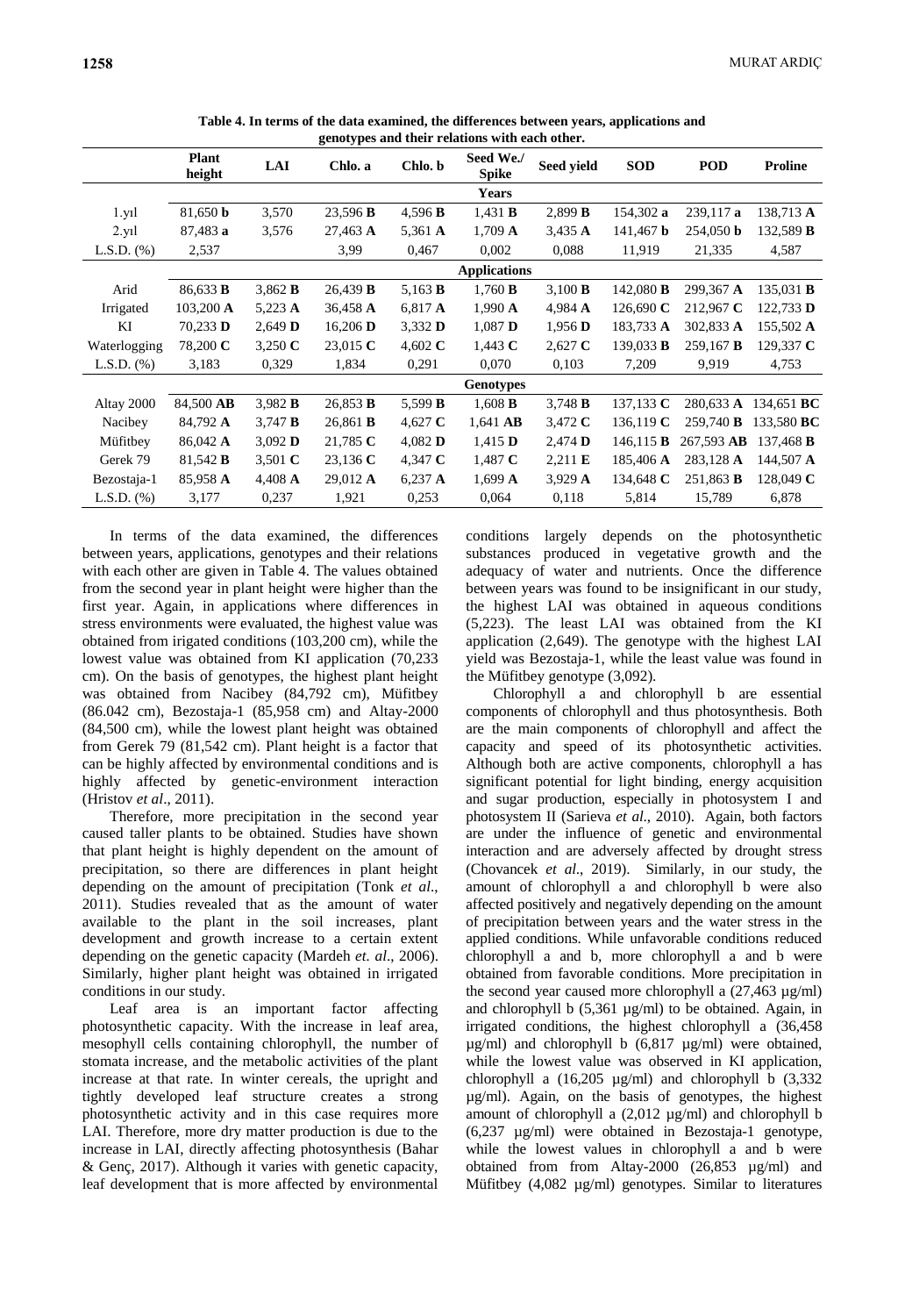| genotypes and their relations with each other. |                        |                    |                 |                |                           |                   |                  |                    |                   |  |  |
|------------------------------------------------|------------------------|--------------------|-----------------|----------------|---------------------------|-------------------|------------------|--------------------|-------------------|--|--|
|                                                | <b>Plant</b><br>height | <b>LAI</b>         | Chlo. a         | Chlo. b        | Seed We./<br><b>Spike</b> | Seed yield        | <b>SOD</b>       | <b>POD</b>         | <b>Proline</b>    |  |  |
|                                                |                        |                    |                 |                | <b>Years</b>              |                   |                  |                    |                   |  |  |
| 1.y1                                           | 81,650 <b>b</b>        | 3,570              | 23,596 B        | 4,596 $B$      | 1,431 B                   | 2,899 B           | 154,302 a        | 239,117 a          | 138,713 A         |  |  |
| 2.y <sub>1</sub>                               | 87,483 a               | 3,576              | 27,463 A        | 5,361 A        | $1,709 \text{ A}$         | $3,435 \text{ A}$ | $141,467$ b      | $254,050$ b        | 132,589 <b>B</b>  |  |  |
| $L.S.D.$ $(\%)$                                | 2,537                  |                    | 3,99            | 0,467          | 0,002                     | 0,088             | 11,919           | 21,335             | 4,587             |  |  |
|                                                |                        |                    |                 |                | <b>Applications</b>       |                   |                  |                    |                   |  |  |
| Arid                                           | 86,633 <b>B</b>        | 3,862 B            | 26,439 B        | 5,163 <b>B</b> | 1,760 B                   | 3,100 B           | 142,080 <b>B</b> | 299,367 A          | 135,031 <b>B</b>  |  |  |
| Irrigated                                      | $103,200 \text{ A}$    | 5,223 $\AA$        | 36,458 A        | 6,817 A        | $1,990 \text{ A}$         | 4,984 A           | 126,690 $C$      | 212,967 C          | 122,733 D         |  |  |
| KI                                             | $70,233$ D             | $2,649$ D          | 16,206 $\bf{D}$ | 3,332 D        | $1,087$ <b>D</b>          | $1,956$ <b>D</b>  | 183,733 A        | 302,833 A          | 155,502 A         |  |  |
| Waterlogging                                   | 78,200 C               | 3,250 $\mathbf{C}$ | 23,015 $C$      | 4,602 $C$      | 1,443 $C$                 | $2,627$ C         | 139,033 <b>B</b> | $259,167$ <b>B</b> | 129,337 $C$       |  |  |
| $L.S.D.$ $%$                                   | 3,183                  | 0,329              | 1,834           | 0,291          | 0,070                     | 0,103             | 7,209            | 9,919              | 4,753             |  |  |
|                                                |                        |                    |                 |                | <b>Genotypes</b>          |                   |                  |                    |                   |  |  |
| Altay 2000                                     | 84,500 AB              | 3,982 B            | 26,853 B        | 5,599 <b>B</b> | $1,608$ <b>B</b>          | 3,748 $B$         | 137,133 $C$      | 280,633 A          | 134,651 <b>BC</b> |  |  |
| Nacibey                                        | 84,792 A               | $3,747$ <b>B</b>   | 26,861 <b>B</b> | 4,627 C        | $1,641$ AB                | 3,472 $C$         | 136,119 $C$      | 259,740 <b>B</b>   | 133,580 BC        |  |  |
| Müfitbey                                       | 86,042 A               | 3,092 D            | 21,785 C        | 4,082 $\bf{D}$ | $1,415$ <b>D</b>          | 2,474 D           | 146, 115 B       | 267,593 AB         | 137,468 <b>B</b>  |  |  |
| Gerek 79                                       | 81,542 <b>B</b>        | 3,501 $C$          | 23,136 $C$      | 4,347 $C$      | 1,487 $C$                 | $2,211 \text{ E}$ | 185,406 A        | 283,128 A          | 144,507 A         |  |  |
| Bezostaja-1                                    | 85,958 A               | 4,408 $\AA$        | 29,012 A        | $6,237$ A      | $1,699$ A                 | 3,929 $\AA$       | 134,648 $C$      | 251,863 <b>B</b>   | 128,049 $C$       |  |  |
| L.S.D. $(\%)$                                  | 3,177                  | 0,237              | 1,921           | 0,253          | 0,064                     | 0,118             | 5,814            | 15,789             | 6,878             |  |  |

**Table 4. In terms of the data examined, the differences between years, applications and** 

In terms of the data examined, the differences between years, applications, genotypes and their relations with each other are given in Table 4. The values obtained from the second year in plant height were higher than the first year. Again, in applications where differences in stress environments were evaluated, the highest value was obtained from irigated conditions (103,200 cm), while the lowest value was obtained from KI application (70,233 cm). On the basis of genotypes, the highest plant height was obtained from Nacibey (84,792 cm), Müfitbey (86.042 cm), Bezostaja-1 (85,958 cm) and Altay-2000 (84,500 cm), while the lowest plant height was obtained from Gerek 79 (81,542 cm). Plant height is a factor that can be highly affected by environmental conditions and is highly affected by genetic-environment interaction (Hristov *et al*., 2011).

Therefore, more precipitation in the second year caused taller plants to be obtained. Studies have shown that plant height is highly dependent on the amount of precipitation, so there are differences in plant height depending on the amount of precipitation (Tonk *et al*., 2011). Studies revealed that as the amount of water available to the plant in the soil increases, plant development and growth increase to a certain extent depending on the genetic capacity (Mardeh *et. al*., 2006). Similarly, higher plant height was obtained in irrigated conditions in our study.

Leaf area is an important factor affecting photosynthetic capacity. With the increase in leaf area, mesophyll cells containing chlorophyll, the number of stomata increase, and the metabolic activities of the plant increase at that rate. In winter cereals, the upright and tightly developed leaf structure creates a strong photosynthetic activity and in this case requires more LAI. Therefore, more dry matter production is due to the increase in LAI, directly affecting photosynthesis (Bahar & Genç, 2017). Although it varies with genetic capacity, leaf development that is more affected by environmental

conditions largely depends on the photosynthetic substances produced in vegetative growth and the adequacy of water and nutrients. Once the difference between years was found to be insignificant in our study, the highest LAI was obtained in aqueous conditions (5,223). The least LAI was obtained from the KI application (2,649). The genotype with the highest LAI yield was Bezostaja-1, while the least value was found in the Müfitbey genotype (3,092).

Chlorophyll a and chlorophyll b are essential components of chlorophyll and thus photosynthesis. Both are the main components of chlorophyll and affect the capacity and speed of its photosynthetic activities. Although both are active components, chlorophyll a has significant potential for light binding, energy acquisition and sugar production, especially in photosystem I and photosystem II (Sarieva *et al*., 2010). Again, both factors are under the influence of genetic and environmental interaction and are adversely affected by drought stress (Chovancek *et al*., 2019). Similarly, in our study, the amount of chlorophyll a and chlorophyll b were also affected positively and negatively depending on the amount of precipitation between years and the water stress in the applied conditions. While unfavorable conditions reduced chlorophyll a and b, more chlorophyll a and b were obtained from favorable conditions. More precipitation in the second year caused more chlorophyll a (27,463 µg/ml) and chlorophyll b (5,361 µg/ml) to be obtained. Again, in irrigated conditions, the highest chlorophyll a (36,458 µg/ml) and chlorophyll b (6,817 µg/ml) were obtained, while the lowest value was observed in KI application, chlorophyll a  $(16,205 \text{ µg/ml})$  and chlorophyll b  $(3,332 \text{ µg/ml})$ µg/ml). Again, on the basis of genotypes, the highest amount of chlorophyll a (2,012 µg/ml) and chlorophyll b (6,237 µg/ml) were obtained in Bezostaja-1 genotype, while the lowest values in chlorophyll a and b were obtained from from Altay-2000 (26,853 µg/ml) and Müfitbey (4,082 µg/ml) genotypes. Similar to literatures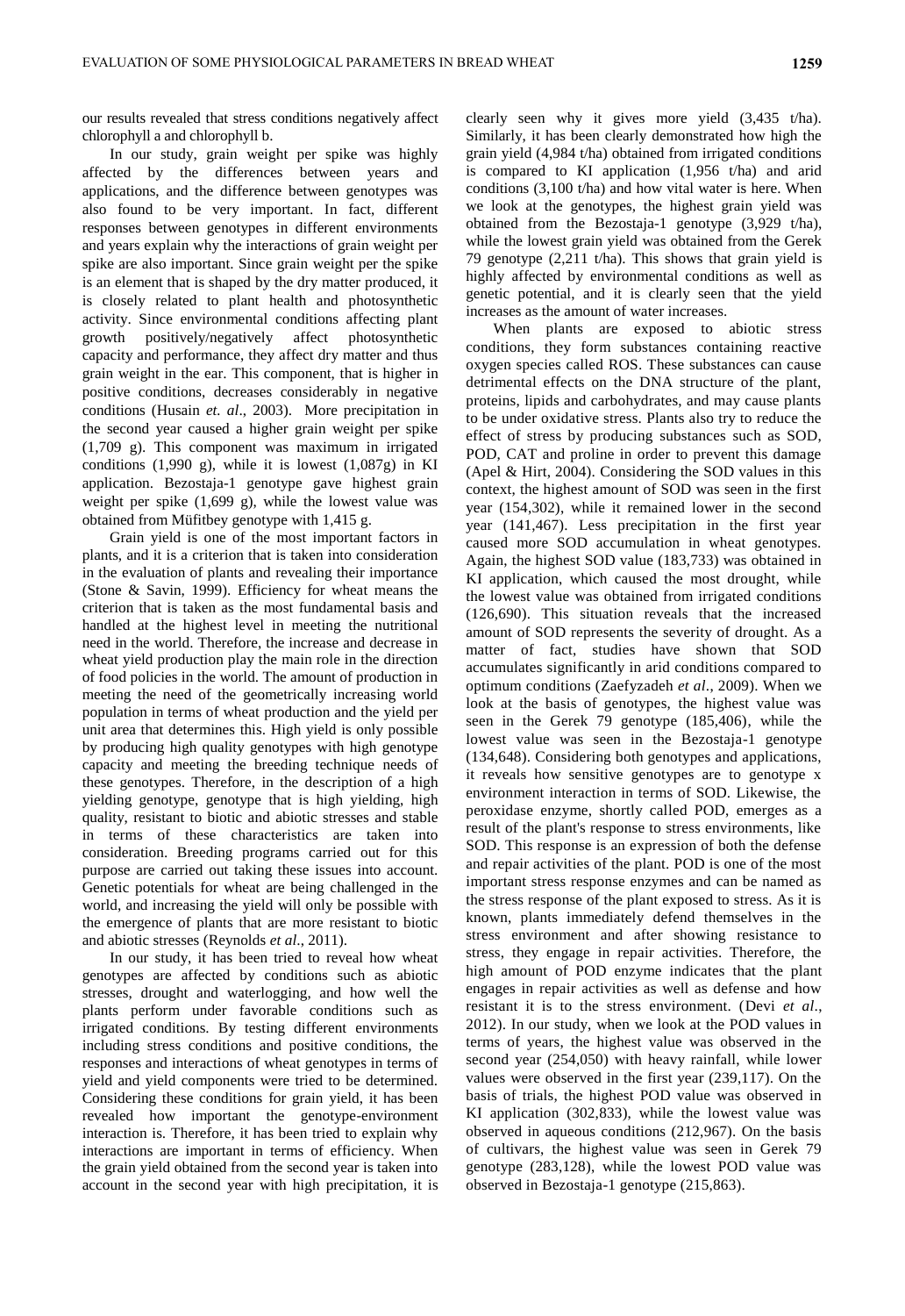our results revealed that stress conditions negatively affect chlorophyll a and chlorophyll b.

In our study, grain weight per spike was highly affected by the differences between years and applications, and the difference between genotypes was also found to be very important. In fact, different responses between genotypes in different environments and years explain why the interactions of grain weight per spike are also important. Since grain weight per the spike is an element that is shaped by the dry matter produced, it is closely related to plant health and photosynthetic activity. Since environmental conditions affecting plant growth positively/negatively affect photosynthetic capacity and performance, they affect dry matter and thus grain weight in the ear. This component, that is higher in positive conditions, decreases considerably in negative conditions (Husain *et. al*., 2003). More precipitation in the second year caused a higher grain weight per spike (1,709 g). This component was maximum in irrigated conditions  $(1,990 \text{ g})$ , while it is lowest  $(1,087g)$  in KI application. Bezostaja-1 genotype gave highest grain weight per spike (1,699 g), while the lowest value was obtained from Müfitbey genotype with 1,415 g.

Grain yield is one of the most important factors in plants, and it is a criterion that is taken into consideration in the evaluation of plants and revealing their importance (Stone & Savin, 1999). Efficiency for wheat means the criterion that is taken as the most fundamental basis and handled at the highest level in meeting the nutritional need in the world. Therefore, the increase and decrease in wheat yield production play the main role in the direction of food policies in the world. The amount of production in meeting the need of the geometrically increasing world population in terms of wheat production and the yield per unit area that determines this. High yield is only possible by producing high quality genotypes with high genotype capacity and meeting the breeding technique needs of these genotypes. Therefore, in the description of a high yielding genotype, genotype that is high yielding, high quality, resistant to biotic and abiotic stresses and stable in terms of these characteristics are taken into consideration. Breeding programs carried out for this purpose are carried out taking these issues into account. Genetic potentials for wheat are being challenged in the world, and increasing the yield will only be possible with the emergence of plants that are more resistant to biotic and abiotic stresses (Reynolds *et al*., 2011).

In our study, it has been tried to reveal how wheat genotypes are affected by conditions such as abiotic stresses, drought and waterlogging, and how well the plants perform under favorable conditions such as irrigated conditions. By testing different environments including stress conditions and positive conditions, the responses and interactions of wheat genotypes in terms of yield and yield components were tried to be determined. Considering these conditions for grain yield, it has been revealed how important the genotype-environment interaction is. Therefore, it has been tried to explain why interactions are important in terms of efficiency. When the grain yield obtained from the second year is taken into account in the second year with high precipitation, it is clearly seen why it gives more yield (3,435 t/ha). Similarly, it has been clearly demonstrated how high the grain yield (4,984 t/ha) obtained from irrigated conditions is compared to KI application (1,956 t/ha) and arid conditions (3,100 t/ha) and how vital water is here. When we look at the genotypes, the highest grain yield was obtained from the Bezostaja-1 genotype (3,929 t/ha), while the lowest grain yield was obtained from the Gerek 79 genotype (2,211 t/ha). This shows that grain yield is highly affected by environmental conditions as well as genetic potential, and it is clearly seen that the yield increases as the amount of water increases.

When plants are exposed to abiotic stress conditions, they form substances containing reactive oxygen species called ROS. These substances can cause detrimental effects on the DNA structure of the plant, proteins, lipids and carbohydrates, and may cause plants to be under oxidative stress. Plants also try to reduce the effect of stress by producing substances such as SOD, POD, CAT and proline in order to prevent this damage (Apel & Hirt, 2004). Considering the SOD values in this context, the highest amount of SOD was seen in the first year (154,302), while it remained lower in the second year (141,467). Less precipitation in the first year caused more SOD accumulation in wheat genotypes. Again, the highest SOD value (183,733) was obtained in KI application, which caused the most drought, while the lowest value was obtained from irrigated conditions (126,690). This situation reveals that the increased amount of SOD represents the severity of drought. As a matter of fact, studies have shown that SOD accumulates significantly in arid conditions compared to optimum conditions (Zaefyzadeh *et al*., 2009). When we look at the basis of genotypes, the highest value was seen in the Gerek 79 genotype (185,406), while the lowest value was seen in the Bezostaja-1 genotype (134,648). Considering both genotypes and applications, it reveals how sensitive genotypes are to genotype x environment interaction in terms of SOD. Likewise, the peroxidase enzyme, shortly called POD, emerges as a result of the plant's response to stress environments, like SOD. This response is an expression of both the defense and repair activities of the plant. POD is one of the most important stress response enzymes and can be named as the stress response of the plant exposed to stress. As it is known, plants immediately defend themselves in the stress environment and after showing resistance to stress, they engage in repair activities. Therefore, the high amount of POD enzyme indicates that the plant engages in repair activities as well as defense and how resistant it is to the stress environment. (Devi *et al*., 2012). In our study, when we look at the POD values in terms of years, the highest value was observed in the second year (254,050) with heavy rainfall, while lower values were observed in the first year (239,117). On the basis of trials, the highest POD value was observed in KI application (302,833), while the lowest value was observed in aqueous conditions (212,967). On the basis of cultivars, the highest value was seen in Gerek 79 genotype (283,128), while the lowest POD value was observed in Bezostaja-1 genotype (215,863).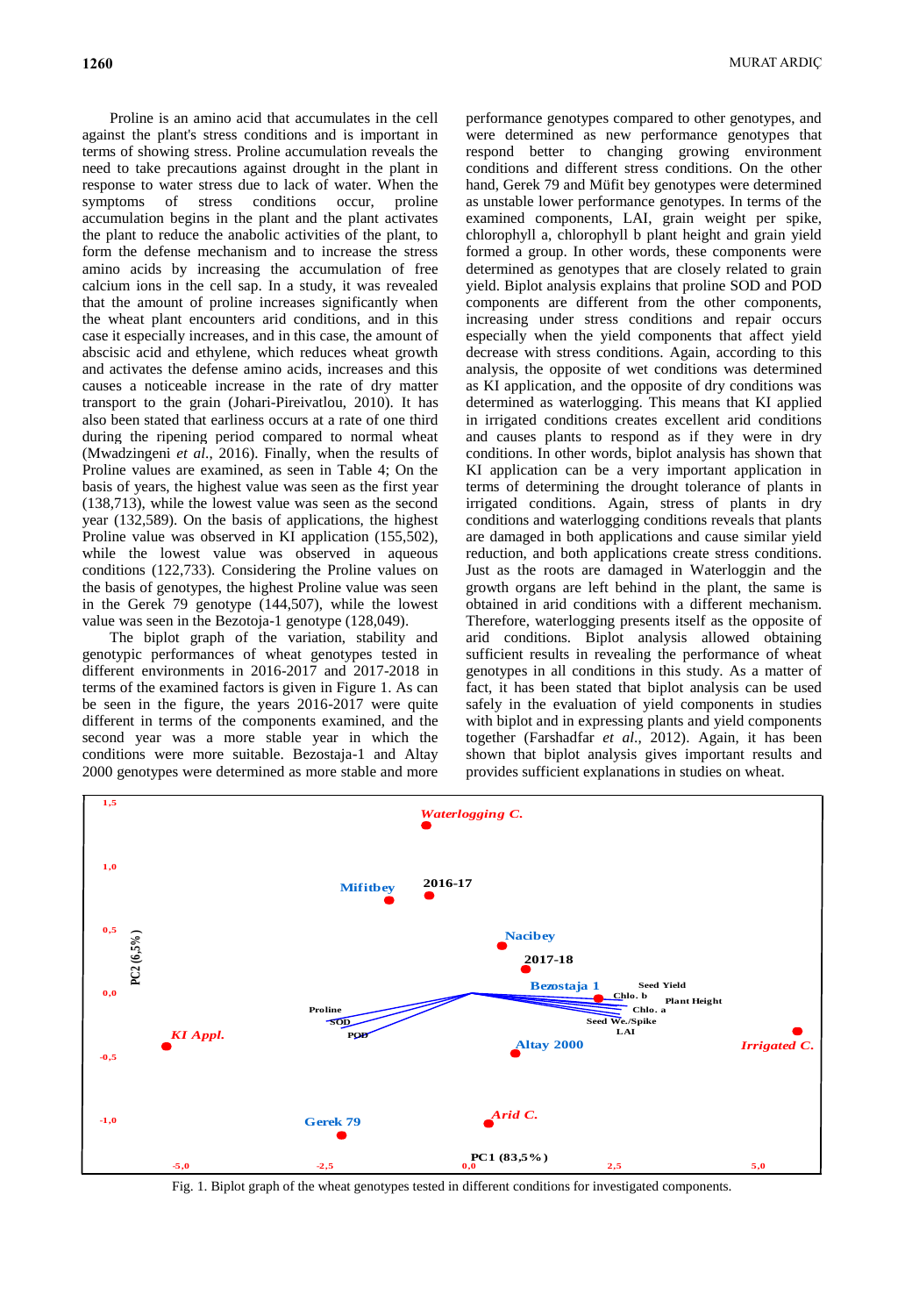Proline is an amino acid that accumulates in the cell against the plant's stress conditions and is important in terms of showing stress. Proline accumulation reveals the need to take precautions against drought in the plant in response to water stress due to lack of water. When the symptoms of stress conditions occur, proline accumulation begins in the plant and the plant activates the plant to reduce the anabolic activities of the plant, to form the defense mechanism and to increase the stress amino acids by increasing the accumulation of free calcium ions in the cell sap. In a study, it was revealed that the amount of proline increases significantly when the wheat plant encounters arid conditions, and in this case it especially increases, and in this case, the amount of abscisic acid and ethylene, which reduces wheat growth and activates the defense amino acids, increases and this causes a noticeable increase in the rate of dry matter transport to the grain (Johari-Pireivatlou, 2010). It has also been stated that earliness occurs at a rate of one third during the ripening period compared to normal wheat (Mwadzingeni *et al*., 2016). Finally, when the results of Proline values are examined, as seen in Table 4; On the basis of years, the highest value was seen as the first year (138,713), while the lowest value was seen as the second year (132,589). On the basis of applications, the highest Proline value was observed in KI application (155,502), while the lowest value was observed in aqueous conditions (122,733). Considering the Proline values on the basis of genotypes, the highest Proline value was seen in the Gerek 79 genotype (144,507), while the lowest value was seen in the Bezotoja-1 genotype (128,049).

The biplot graph of the variation, stability and genotypic performances of wheat genotypes tested in different environments in 2016-2017 and 2017-2018 in terms of the examined factors is given in Figure 1. As can be seen in the figure, the years 2016-2017 were quite different in terms of the components examined, and the second year was a more stable year in which the conditions were more suitable. Bezostaja-1 and Altay 2000 genotypes were determined as more stable and more

performance genotypes compared to other genotypes, and were determined as new performance genotypes that respond better to changing growing environment conditions and different stress conditions. On the other hand, Gerek 79 and Müfit bey genotypes were determined as unstable lower performance genotypes. In terms of the examined components, LAI, grain weight per spike, chlorophyll a, chlorophyll b plant height and grain yield formed a group. In other words, these components were determined as genotypes that are closely related to grain yield. Biplot analysis explains that proline SOD and POD components are different from the other components, increasing under stress conditions and repair occurs especially when the yield components that affect yield decrease with stress conditions. Again, according to this analysis, the opposite of wet conditions was determined as KI application, and the opposite of dry conditions was determined as waterlogging. This means that KI applied in irrigated conditions creates excellent arid conditions and causes plants to respond as if they were in dry conditions. In other words, biplot analysis has shown that KI application can be a very important application in terms of determining the drought tolerance of plants in irrigated conditions. Again, stress of plants in dry conditions and waterlogging conditions reveals that plants are damaged in both applications and cause similar yield reduction, and both applications create stress conditions. Just as the roots are damaged in Waterloggin and the growth organs are left behind in the plant, the same is obtained in arid conditions with a different mechanism. Therefore, waterlogging presents itself as the opposite of arid conditions. Biplot analysis allowed obtaining sufficient results in revealing the performance of wheat genotypes in all conditions in this study. As a matter of fact, it has been stated that biplot analysis can be used safely in the evaluation of yield components in studies with biplot and in expressing plants and yield components together (Farshadfar *et al*., 2012). Again, it has been shown that biplot analysis gives important results and provides sufficient explanations in studies on wheat.



Fig. 1. Biplot graph of the wheat genotypes tested in different conditions for investigated components.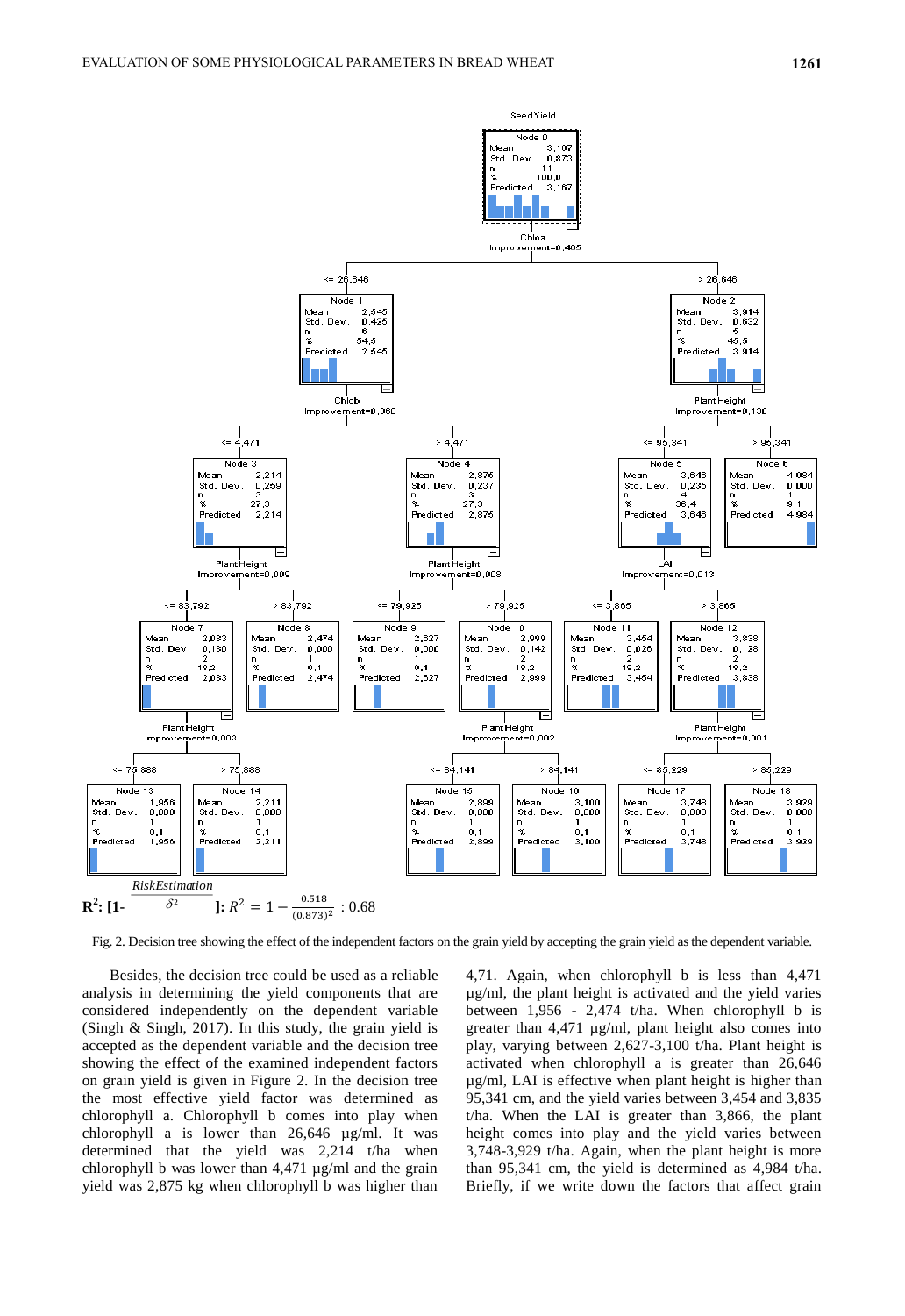

Fig. 2. Decision tree showing the effect of the independent factors on the grain yield by accepting the grain yield as the dependent variable.

Besides, the decision tree could be used as a reliable analysis in determining the yield components that are considered independently on the dependent variable (Singh & Singh, 2017). In this study, the grain yield is accepted as the dependent variable and the decision tree showing the effect of the examined independent factors on grain yield is given in Figure 2. In the decision tree the most effective yield factor was determined as chlorophyll a. Chlorophyll b comes into play when chlorophyll a is lower than 26,646 µg/ml. It was determined that the yield was 2,214 t/ha when chlorophyll b was lower than 4,471 µg/ml and the grain yield was 2,875 kg when chlorophyll b was higher than 4,71. Again, when chlorophyll b is less than 4,471 µg/ml, the plant height is activated and the yield varies between 1,956 - 2,474 t/ha. When chlorophyll b is greater than 4,471 µg/ml, plant height also comes into play, varying between 2,627-3,100 t/ha. Plant height is activated when chlorophyll a is greater than 26,646 µg/ml, LAI is effective when plant height is higher than 95,341 cm, and the yield varies between 3,454 and 3,835 t/ha. When the LAI is greater than 3,866, the plant height comes into play and the yield varies between 3,748-3,929 t/ha. Again, when the plant height is more than 95,341 cm, the yield is determined as 4,984 t/ha. Briefly, if we write down the factors that affect grain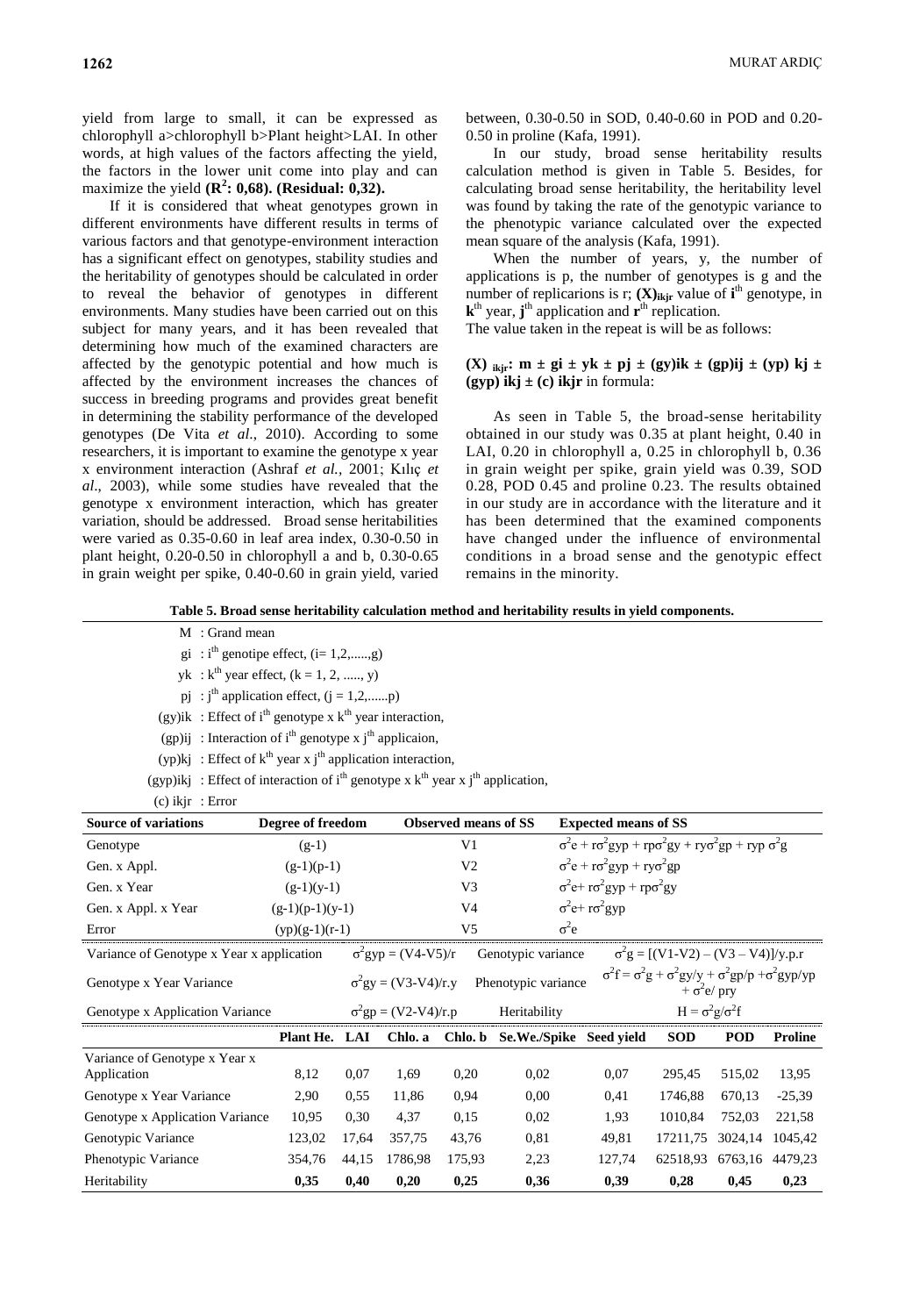yield from large to small, it can be expressed as chlorophyll a>chlorophyll b>Plant height>LAI. In other words, at high values of the factors affecting the yield, the factors in the lower unit come into play and can maximize the yield  $(\mathbb{R}^2; 0,68)$ . (**Residual:**  $0,32$ ).

If it is considered that wheat genotypes grown in different environments have different results in terms of various factors and that genotype-environment interaction has a significant effect on genotypes, stability studies and the heritability of genotypes should be calculated in order to reveal the behavior of genotypes in different environments. Many studies have been carried out on this subject for many years, and it has been revealed that determining how much of the examined characters are affected by the genotypic potential and how much is affected by the environment increases the chances of success in breeding programs and provides great benefit in determining the stability performance of the developed genotypes (De Vita *et al*., 2010). According to some researchers, it is important to examine the genotype x year x environment interaction (Ashraf *et al.,* 2001; Kılıç *et al*., 2003), while some studies have revealed that the genotype x environment interaction, which has greater variation, should be addressed. Broad sense heritabilities were varied as 0.35-0.60 in leaf area index, 0.30-0.50 in plant height, 0.20-0.50 in chlorophyll a and b, 0.30-0.65 in grain weight per spike, 0.40-0.60 in grain yield, varied between, 0.30-0.50 in SOD, 0.40-0.60 in POD and 0.20- 0.50 in proline (Kafa, 1991).

In our study, broad sense heritability results calculation method is given in Table 5. Besides, for calculating broad sense heritability, the heritability level was found by taking the rate of the genotypic variance to the phenotypic variance calculated over the expected mean square of the analysis (Kafa, 1991).

When the number of years, y, the number of applications is p, the number of genotypes is g and the number of replicarions is r;  $(X)_{ikjr}$  value of  $i<sup>th</sup>$  genotype, in  $\mathbf{k}^{\text{th}}$  year,  $\mathbf{j}^{\text{th}}$  application and  $\mathbf{r}^{\text{th}}$  replication.

The value taken in the repeat is will be as follows:

# **(X) i**kjr**:**  $m \pm gi \pm yk \pm pj \pm (gy)ik \pm (gp)ij \pm (yp)kj \pm$  $(gyp)$  **ikj**  $\pm$  (c) **ikjr** in formula:

As seen in Table 5, the broad-sense heritability obtained in our study was 0.35 at plant height, 0.40 in LAI, 0.20 in chlorophyll a, 0.25 in chlorophyll b, 0.36 in grain weight per spike, grain yield was 0.39, SOD 0.28, POD 0.45 and proline 0.23. The results obtained in our study are in accordance with the literature and it has been determined that the examined components have changed under the influence of environmental conditions in a broad sense and the genotypic effect remains in the minority.

**Table 5. Broad sense heritability calculation method and heritability results in yield components.**

| M: Grand mean |  |
|---------------|--|
|---------------|--|

gi :  $i<sup>th</sup>$  genotipe effect, (i= 1,2,....,g)

 $yk : k<sup>th</sup> year effect, (k = 1, 2, ..., y)$ 

pj : j<sup>th</sup> application effect,  $(j = 1, 2, \dots, p)$ 

(gy)ik : Effect of i<sup>th</sup> genotype x  $k<sup>th</sup>$  year interaction,

(gp)ij : Interaction of i<sup>th</sup> genotype x j<sup>th</sup> applicaion,

(yp)kj : Effect of  $k<sup>th</sup>$  year x j<sup>th</sup> application interaction,

```
(gyp)ikj : Effect of interaction of i<sup>th</sup> genotype x k^{th} year x j<sup>th</sup> application,
```
(c) ikjr : Error

| <b>Source of variations</b>               |                   | Degree of freedom<br><b>Observed means of SS</b> |                                                    |                | <b>Expected means of SS</b>     |                                                                                                             |                                            |            |                |  |
|-------------------------------------------|-------------------|--------------------------------------------------|----------------------------------------------------|----------------|---------------------------------|-------------------------------------------------------------------------------------------------------------|--------------------------------------------|------------|----------------|--|
| $(g-1)$<br>Genotype                       |                   |                                                  | V <sub>1</sub>                                     |                |                                 | $\sigma^2 e + r \sigma^2 g y p + r p \sigma^2 g y + r y \sigma^2 g p + r y p \sigma^2 g$                    |                                            |            |                |  |
| Gen. x Appl.                              | $(g-1)(p-1)$      |                                                  |                                                    | V <sub>2</sub> |                                 | $\sigma^2 e + r \sigma^2 g y p + r y \sigma^2 g p$                                                          |                                            |            |                |  |
| Gen. x Year                               | $(g-1)(y-1)$      |                                                  |                                                    | V <sub>3</sub> |                                 | $\sigma^2 e + r \sigma^2 g y p + r p \sigma^2 g y$                                                          |                                            |            |                |  |
| Gen. x Appl. x Year                       | $(g-1)(p-1)(y-1)$ | V4                                               |                                                    |                | $\sigma^2 e^+ r \sigma^2 g y p$ |                                                                                                             |                                            |            |                |  |
| Error                                     | $(yp)(g-1)(r-1)$  |                                                  |                                                    | V5             | $\sigma^2$ e                    |                                                                                                             |                                            |            |                |  |
| Variance of Genotype x Year x application |                   |                                                  | $\sigma^2$ gyp = (V4-V5)/r                         |                | Genotypic variance              |                                                                                                             | $\sigma^2 g = [(V1-V2) - (V3 - V4)]/y.p.r$ |            |                |  |
| Genotype x Year Variance                  |                   |                                                  | $\sigma^2 gy = (V3-V4)/r.y$<br>Phenotypic variance |                |                                 | $\sigma^2 f = \sigma^2 g + \sigma^2 g y/y + \sigma^2 g p/p + \sigma^2 g y p/yp$<br>$+\sigma^2 e/\text{pry}$ |                                            |            |                |  |
| Genotype x Application Variance           |                   | $\sigma^2$ gp = (V2-V4)/r.p<br>Heritability      |                                                    |                | $H = \sigma^2 g / \sigma^2 f$   |                                                                                                             |                                            |            |                |  |
|                                           | Plant He. LAI     |                                                  | Chlo. a                                            | Chlo. b        | Se.We./Spike                    | Seed yield                                                                                                  | <b>SOD</b>                                 | <b>POD</b> | <b>Proline</b> |  |
| Variance of Genotype x Year x             |                   |                                                  |                                                    |                |                                 |                                                                                                             |                                            |            |                |  |
| Application                               | 8,12              | 0,07                                             | 1,69                                               | 0,20           | 0,02                            | 0,07                                                                                                        | 295,45                                     | 515,02     | 13,95          |  |
| Genotype x Year Variance                  | 2,90              | 0,55                                             | 11,86                                              | 0,94           | 0,00                            | 0,41                                                                                                        | 1746,88                                    | 670,13     | $-25,39$       |  |
| Genotype x Application Variance           | 10,95             | 0,30                                             | 4,37                                               | 0.15           | 0,02                            | 1,93                                                                                                        | 1010,84                                    | 752,03     | 221,58         |  |
| Genotypic Variance                        | 123,02            | 17,64                                            | 357,75                                             | 43,76          | 0.81                            | 49,81                                                                                                       | 17211,75                                   | 3024,14    | 1045,42        |  |
| Phenotypic Variance                       | 354,76            | 44,15                                            | 1786,98                                            | 175,93         | 2,23                            | 127,74                                                                                                      | 62518,93                                   | 6763,16    | 4479,23        |  |
| Heritability                              | 0,35              | 0,40                                             | 0,20                                               | 0,25           | 0,36                            | 0,39                                                                                                        | 0,28                                       | 0,45       | 0,23           |  |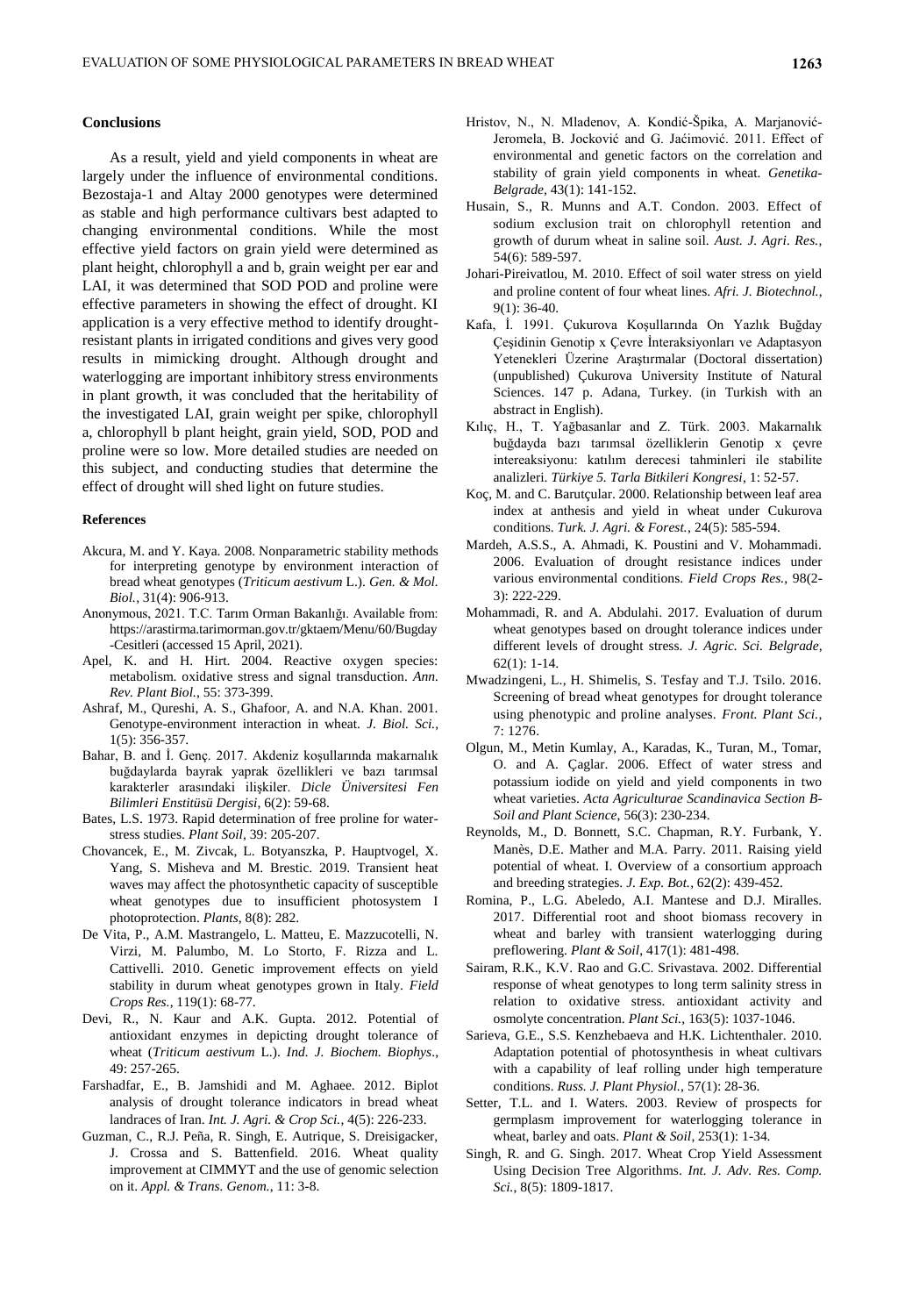#### **Conclusions**

As a result, yield and yield components in wheat are largely under the influence of environmental conditions. Bezostaja-1 and Altay 2000 genotypes were determined as stable and high performance cultivars best adapted to changing environmental conditions. While the most effective yield factors on grain yield were determined as plant height, chlorophyll a and b, grain weight per ear and LAI, it was determined that SOD POD and proline were effective parameters in showing the effect of drought. KI application is a very effective method to identify droughtresistant plants in irrigated conditions and gives very good results in mimicking drought. Although drought and waterlogging are important inhibitory stress environments in plant growth, it was concluded that the heritability of the investigated LAI, grain weight per spike, chlorophyll a, chlorophyll b plant height, grain yield, SOD, POD and proline were so low. More detailed studies are needed on this subject, and conducting studies that determine the effect of drought will shed light on future studies.

#### **References**

- Akcura, M. and Y. Kaya. 2008. Nonparametric stability methods for interpreting genotype by environment interaction of bread wheat genotypes (*Triticum aestivum* L.). *Gen. & Mol. Biol.*, 31(4): 906-913.
- Anonymous, 2021. T.C. Tarım Orman Bakanlığı. Available from: [https://arastirma.tarimorman.gov.tr/gktaem/Menu/60/Bugday](https://arastirma.tarimorman.gov.tr/gktaem/Menu/60/Bugday-Cesitleri) [-Cesitleri](https://arastirma.tarimorman.gov.tr/gktaem/Menu/60/Bugday-Cesitleri) (accessed 15 April, 2021).
- Apel, K. and H. Hirt. 2004. Reactive oxygen species: metabolism. oxidative stress and signal transduction. *Ann. Rev. Plant Biol.*, 55: 373-399.
- Ashraf, M., Qureshi, A. S., Ghafoor, A. and N.A. Khan. 2001. Genotype-environment interaction in wheat. *J. Biol. Sci.*, 1(5): 356-357.
- Bahar, B. and İ. Genç. 2017. Akdeniz koşullarında makarnalık buğdaylarda bayrak yaprak özellikleri ve bazı tarımsal karakterler arasındaki ilişkiler. *Dicle Üniversitesi Fen Bilimleri Enstitüsü Dergisi*, 6(2): 59-68.
- Bates, L.S. 1973. Rapid determination of free proline for waterstress studies. *Plant Soil*, 39: 205-207.
- Chovancek, E., M. Zivcak, L. Botyanszka, P. Hauptvogel, X. Yang, S. Misheva and M. Brestic. 2019. Transient heat waves may affect the photosynthetic capacity of susceptible wheat genotypes due to insufficient photosystem I photoprotection. *Plants*, 8(8): 282.
- De Vita, P., A.M. Mastrangelo, L. Matteu, E. Mazzucotelli, N. Virzi, M. Palumbo, M. Lo Storto, F. Rizza and L. Cattivelli. 2010. Genetic improvement effects on yield stability in durum wheat genotypes grown in Italy. *Field Crops Res.*, 119(1): 68-77.
- Devi, R., N. Kaur and A.K. Gupta. 2012. Potential of antioxidant enzymes in depicting drought tolerance of wheat (*Triticum aestivum* L.). *Ind. J. Biochem. Biophys*., 49: 257-265.
- Farshadfar, E., B. Jamshidi and M. Aghaee. 2012. Biplot analysis of drought tolerance indicators in bread wheat landraces of Iran. *Int. J. Agri. & Crop Sci.*, 4(5): 226-233.
- Guzman, C., R.J. Peña, R. Singh, E. Autrique, S. Dreisigacker, J. Crossa and S. Battenfield. 2016. Wheat quality improvement at CIMMYT and the use of genomic selection on it. *Appl. & Trans. Genom.*, 11: 3-8.
- Hristov, N., N. Mladenov, A. Kondić-Špika, A. Marjanović-Jeromela, B. Jocković and G. Jaćimović. 2011. Effect of environmental and genetic factors on the correlation and stability of grain yield components in wheat. *Genetika-Belgrade*, 43(1): 141-152.
- Husain, S., R. Munns and A.T. Condon. 2003. Effect of sodium exclusion trait on chlorophyll retention and growth of durum wheat in saline soil. *Aust. J. Agri. Res.*, 54(6): 589-597.
- Johari-Pireivatlou, M. 2010. Effect of soil water stress on yield and proline content of four wheat lines. *Afri. J. Biotechnol.*, 9(1): 36-40.
- Kafa, İ. 1991. Çukurova Koşullarında On Yazlık Buğday Çeşidinin Genotip x Çevre İnteraksiyonları ve Adaptasyon Yetenekleri Üzerine Araştırmalar (Doctoral dissertation) (unpublished) Çukurova University Institute of Natural Sciences. 147 p. Adana, Turkey. (in Turkish with an abstract in English).
- Kılıç, H., T. Yağbasanlar and Z. Türk. 2003. Makarnalık buğdayda bazı tarımsal özelliklerin Genotip x çevre intereaksiyonu: katılım derecesi tahminleri ile stabilite analizleri. *Türkiye 5. Tarla Bitkileri Kongresi*, 1: 52-57.
- Koç, M. and C. Barutçular. 2000. Relationship between leaf area index at anthesis and yield in wheat under Cukurova conditions. *Turk. J. Agri. & Forest.*, 24(5): 585-594.
- Mardeh, A.S.S., A. Ahmadi, K. Poustini and V. Mohammadi. 2006. Evaluation of drought resistance indices under various environmental conditions. *Field Crops Res.*, 98(2- 3): 222-229.
- Mohammadi, R. and A. Abdulahi. 2017. Evaluation of durum wheat genotypes based on drought tolerance indices under different levels of drought stress. *J. Agric. Sci. Belgrade*, 62(1): 1-14.
- Mwadzingeni, L., H. Shimelis, S. Tesfay and T.J. Tsilo. 2016. Screening of bread wheat genotypes for drought tolerance using phenotypic and proline analyses. *Front. Plant Sci.*, 7: 1276.
- Olgun, M., Metin Kumlay, A., Karadas, K., Turan, M., Tomar, O. and A. Çaglar. 2006. Effect of water stress and potassium iodide on yield and yield components in two wheat varieties. *Acta Agriculturae Scandinavica Section B-Soil and Plant Science*, 56(3): 230-234.
- Reynolds, M., D. Bonnett, S.C. Chapman, R.Y. Furbank, Y. Manès, D.E. Mather and M.A. Parry. 2011. Raising yield potential of wheat. I. Overview of a consortium approach and breeding strategies. *J. Exp. Bot.*, 62(2): 439-452.
- Romina, P., L.G. Abeledo, A.I. Mantese and D.J. Miralles. 2017. Differential root and shoot biomass recovery in wheat and barley with transient waterlogging during preflowering. *Plant & Soil*, 417(1): 481-498.
- Sairam, R.K., K.V. Rao and G.C. Srivastava. 2002. Differential response of wheat genotypes to long term salinity stress in relation to oxidative stress. antioxidant activity and osmolyte concentration. *Plant Sci.*, 163(5): 1037-1046.
- Sarieva, G.E., S.S. Kenzhebaeva and H.K. Lichtenthaler. 2010. Adaptation potential of photosynthesis in wheat cultivars with a capability of leaf rolling under high temperature conditions. *Russ. J. Plant Physiol.*, 57(1): 28-36.
- Setter, T.L. and I. Waters. 2003. Review of prospects for germplasm improvement for waterlogging tolerance in wheat, barley and oats. *Plant & Soil*, 253(1): 1-34.
- Singh, R. and G. Singh. 2017. Wheat Crop Yield Assessment Using Decision Tree Algorithms. *Int. J. Adv. Res. Comp. Sci.*, 8(5): 1809-1817.